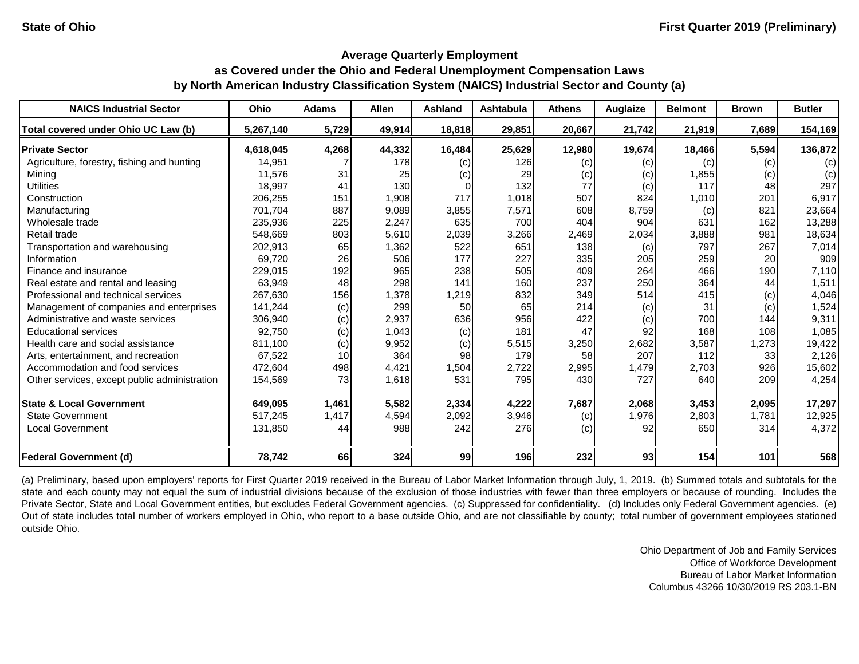#### **Average Quarterly Employment**

## **as Covered under the Ohio and Federal Unemployment Compensation Laws by North American Industry Classification System (NAICS) Industrial Sector and County (a)**

| <b>NAICS Industrial Sector</b>               | <b>Ohio</b> | <b>Adams</b> | <b>Allen</b> | <b>Ashland</b> | Ashtabula | <b>Athens</b> | Auglaize | <b>Belmont</b> | <b>Brown</b> | <b>Butler</b> |
|----------------------------------------------|-------------|--------------|--------------|----------------|-----------|---------------|----------|----------------|--------------|---------------|
| Total covered under Ohio UC Law (b)          | 5,267,140   | 5,729        | 49,914       | 18,818         | 29,851    | 20,667        | 21,742   | 21,919         | 7,689        | 154,169       |
| <b>Private Sector</b>                        | 4,618,045   | 4,268        | 44,332       | 16,484         | 25,629    | 12,980        | 19,674   | 18,466         | 5,594        | 136,872       |
| Agriculture, forestry, fishing and hunting   | 14,951      |              | 178          | (c)            | 126       | (c)           | (c)      | (c)            | (c)          | (c)           |
| Mining                                       | 11,576      | 31           | 25           | (c)            | 29        | (c)           | (c)      | 1,855          | (c)          | (c)           |
| <b>Utilities</b>                             | 18,997      | 41           | 130          |                | 132       | 77            | (c)      | 117            | 48           | 297           |
| Construction                                 | 206,255     | 151          | 1,908        | 717            | 1,018     | 507           | 824      | 1,010          | 201          | 6,917         |
| Manufacturing                                | 701,704     | 887          | 9,089        | 3,855          | 7,571     | 608           | 8,759    | (c)            | 821          | 23,664        |
| Wholesale trade                              | 235,936     | 225          | 2,247        | 635            | 700       | 404           | 904      | 631            | 162          | 13,288        |
| Retail trade                                 | 548,669     | 803          | 5,610        | 2,039          | 3,266     | 2,469         | 2,034    | 3,888          | 981          | 18,634        |
| Transportation and warehousing               | 202,913     | 65           | 1,362        | 522            | 651       | 138           | (c)      | 797            | 267          | 7,014         |
| Information                                  | 69,720      | 26           | 506          | 177            | 227       | 335           | 205      | 259            | 20           | 909           |
| Finance and insurance                        | 229,015     | 192          | 965          | 238            | 505       | 409           | 264      | 466            | 190          | 7,110         |
| Real estate and rental and leasing           | 63,949      | 48           | 298          | 141            | 160       | 237           | 250      | 364            | 44           | 1,511         |
| Professional and technical services          | 267,630     | 156          | 1,378        | 1,219          | 832       | 349           | 514      | 415            | (c)          | 4,046         |
| Management of companies and enterprises      | 141,244     | (c)          | 299          | 50             | 65        | 214           | (c)      | 31             | (c)          | 1,524         |
| Administrative and waste services            | 306,940     | (c)          | 2,937        | 636            | 956       | 422           | (c)      | 700            | 144          | 9,311         |
| <b>Educational services</b>                  | 92,750      | (c)          | 1,043        | (c)            | 181       | 47            | 92       | 168            | 108          | 1,085         |
| Health care and social assistance            | 811,100     | (c)          | 9,952        | (c)            | 5,515     | 3,250         | 2,682    | 3,587          | 1,273        | 19,422        |
| Arts, entertainment, and recreation          | 67,522      | 10           | 364          | 98             | 179       | 58            | 207      | 112            | 33           | 2,126         |
| Accommodation and food services              | 472,604     | 498          | 4,421        | 1,504          | 2,722     | 2,995         | 1,479    | 2,703          | 926          | 15,602        |
| Other services, except public administration | 154,569     | 73           | 1,618        | 531            | 795       | 430           | 727      | 640            | 209          | 4,254         |
| <b>State &amp; Local Government</b>          | 649,095     | 1,461        | 5,582        | 2,334          | 4,222     | 7,687         | 2,068    | 3,453          | 2,095        | 17,297        |
| <b>State Government</b>                      | 517,245     | 1,417        | 4,594        | 2,092          | 3,946     | (c)           | 1,976    | 2,803          | 1,781        | 12,925        |
| <b>Local Government</b>                      | 131,850     | 44           | 988          | 242            | 276       | (c)           | 92       | 650            | 314          | 4,372         |
| <b>Federal Government (d)</b>                | 78,742      | 66           | 324          | 99             | 196       | 232           | 93       | 154            | 101          | 568           |

(a) Preliminary, based upon employers' reports for First Quarter 2019 received in the Bureau of Labor Market Information through July, 1, 2019. (b) Summed totals and subtotals for the state and each county may not equal the sum of industrial divisions because of the exclusion of those industries with fewer than three employers or because of rounding. Includes the Private Sector, State and Local Government entities, but excludes Federal Government agencies. (c) Suppressed for confidentiality. (d) Includes only Federal Government agencies. (e) Out of state includes total number of workers employed in Ohio, who report to a base outside Ohio, and are not classifiable by county; total number of government employees stationed outside Ohio.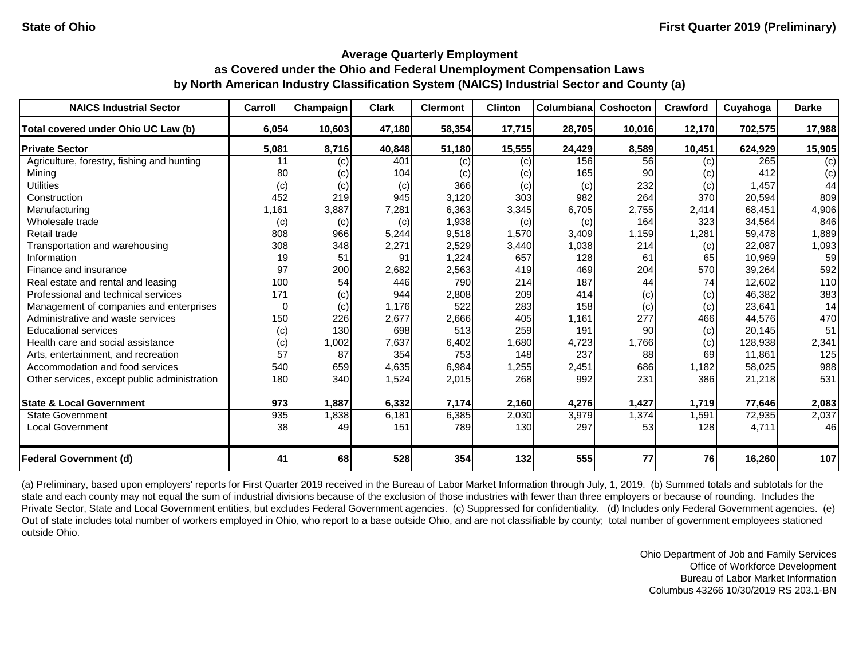| <b>NAICS Industrial Sector</b>               | Carroll | Champaign | <b>Clark</b> | <b>Clermont</b> | <b>Clinton</b> | Columbiana | Coshocton | <b>Crawford</b> | Cuyahoga | <b>Darke</b> |
|----------------------------------------------|---------|-----------|--------------|-----------------|----------------|------------|-----------|-----------------|----------|--------------|
| Total covered under Ohio UC Law (b)          | 6,054   | 10,603    | 47,180       | 58,354          | 17,715         | 28,705     | 10,016    | 12,170          | 702,575  | 17,988       |
| <b>Private Sector</b>                        | 5,081   | 8,716     | 40,848       | 51,180          | 15,555         | 24,429     | 8,589     | 10,451          | 624,929  | 15,905       |
| Agriculture, forestry, fishing and hunting   | 11      | (c)       | 401          | (c)             | (c)            | 156        | 56        | (c)             | 265      | (c)          |
| Mining                                       | 80      | (c)       | 104          | (c)             | (c)            | 165        | 90        | (c)             | 412      | (c)          |
| <b>Utilities</b>                             | (c)     | (c)       | (c)          | 366             | (c)            | (c)        | 232       | (c)             | 1,457    | 44           |
| Construction                                 | 452     | 219       | 945          | 3,120           | 303            | 982        | 264       | 370             | 20,594   | 809          |
| Manufacturing                                | 1,161   | 3,887     | 7,281        | 6,363           | 3,345          | 6,705      | 2,755     | 2,414           | 68,451   | 4,906        |
| Wholesale trade                              | (c)     | (c)       | (c)          | 1,938           | (c)            | (c)        | 164       | 323             | 34,564   | 846          |
| Retail trade                                 | 808     | 966       | 5,244        | 9,518           | 1,570          | 3,409      | 1,159     | 1,281           | 59,478   | 1,889        |
| Transportation and warehousing               | 308     | 348       | 2,271        | 2,529           | 3,440          | 1,038      | 214       | (c)             | 22,087   | 1,093        |
| Information                                  | 19      | 51        | 91           | 1,224           | 657            | 128        | 61        | 65              | 10,969   | 59           |
| Finance and insurance                        | 97      | 200       | 2,682        | 2,563           | 419            | 469        | 204       | 570             | 39,264   | 592          |
| Real estate and rental and leasing           | 100     | 54        | 446          | 790             | 214            | 187        | 44        | 74              | 12,602   | 110          |
| Professional and technical services          | 171     | (c)       | 944          | 2,808           | 209            | 414        | (c)       | (c)             | 46,382   | 383          |
| Management of companies and enterprises      |         | (c)       | 1,176        | 522             | 283            | 158        | (c)       | (c)             | 23,641   | 14           |
| Administrative and waste services            | 150     | 226       | 2,677        | 2,666           | 405            | 1,161      | 277       | 466             | 44,576   | 470          |
| <b>Educational services</b>                  | (c)     | 130       | 698          | 513             | 259            | 191        | 90        | (c)             | 20,145   | 51           |
| Health care and social assistance            | (c)     | 1,002     | 7,637        | 6,402           | 1,680          | 4,723      | 1,766     | (c)             | 128,938  | 2,341        |
| Arts, entertainment, and recreation          | 57      | 87        | 354          | 753             | 148            | 237        | 88        | 69              | 11,861   | 125          |
| Accommodation and food services              | 540     | 659       | 4,635        | 6,984           | 1,255          | 2,451      | 686       | 1,182           | 58,025   | 988          |
| Other services, except public administration | 180     | 340       | 1,524        | 2,015           | 268            | 992        | 231       | 386             | 21,218   | 531          |
| <b>State &amp; Local Government</b>          | 973     | 1,887     | 6,332        | 7,174           | 2,160          | 4,276      | 1,427     | 1,719           | 77,646   | 2,083        |
| <b>State Government</b>                      | 935     | 1,838     | 6,181        | 6,385           | 2,030          | 3,979      | 1,374     | 1,591           | 72,935   | 2,037        |
| <b>Local Government</b>                      | 38      | 49        | 151          | 789             | 130            | 297        | 53        | 128             | 4,711    | 46           |
| <b>Federal Government (d)</b>                | 41      | 68        | 528          | 354             | 132            | 555        | 77        | <b>76</b>       | 16,260   | 107          |

(a) Preliminary, based upon employers' reports for First Quarter 2019 received in the Bureau of Labor Market Information through July, 1, 2019. (b) Summed totals and subtotals for the state and each county may not equal the sum of industrial divisions because of the exclusion of those industries with fewer than three employers or because of rounding. Includes the Private Sector, State and Local Government entities, but excludes Federal Government agencies. (c) Suppressed for confidentiality. (d) Includes only Federal Government agencies. (e) Out of state includes total number of workers employed in Ohio, who report to a base outside Ohio, and are not classifiable by county; total number of government employees stationed outside Ohio.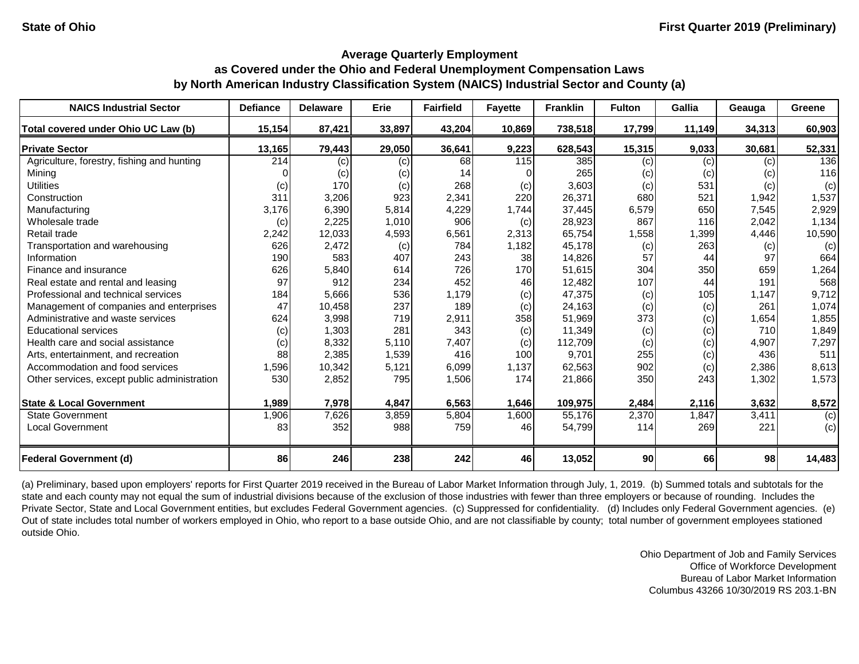| <b>NAICS Industrial Sector</b>               | <b>Defiance</b>  | <b>Delaware</b> | Erie   | <b>Fairfield</b> | <b>Fayette</b> | <b>Franklin</b> | <b>Fulton</b> | <b>Gallia</b> | Geauga | Greene |
|----------------------------------------------|------------------|-----------------|--------|------------------|----------------|-----------------|---------------|---------------|--------|--------|
| Total covered under Ohio UC Law (b)          | 15,154           | 87,421          | 33,897 | 43,204           | 10,869         | 738,518         | 17,799        | 11,149        | 34,313 | 60,903 |
| <b>Private Sector</b>                        | 13,165           | 79,443          | 29,050 | 36,641           | 9,223          | 628,543         | 15,315        | 9,033         | 30,681 | 52,331 |
| Agriculture, forestry, fishing and hunting   | $\overline{214}$ | (c)             | (c)    | 68               | 115            | 385             | (c)           | (c)           | (c)    | 136    |
| Mining                                       |                  | (c)             | (c)    | 14               |                | 265             | (c)           | (c)           | (c)    | 116    |
| <b>Utilities</b>                             | (c)              | 170             | (c)    | 268              | (c)            | 3,603           | (c)           | 531           | (c)    | (c)    |
| Construction                                 | 311              | 3,206           | 923    | 2,341            | 220            | 26,371          | 680           | 521           | 1,942  | 1,537  |
| Manufacturing                                | 3,176            | 6,390           | 5,814  | 4,229            | 1,744          | 37,445          | 6,579         | 650           | 7,545  | 2,929  |
| Wholesale trade                              | (c)              | 2,225           | 1,010  | 906              | (c)            | 28,923          | 867           | 116           | 2,042  | 1,134  |
| Retail trade                                 | 2,242            | 12,033          | 4,593  | 6,561            | 2,313          | 65,754          | 1,558         | 1,399         | 4,446  | 10,590 |
| Transportation and warehousing               | 626              | 2,472           | (c)    | 784              | 1,182          | 45,178          | (c)           | 263           | (c)    | (c)    |
| Information                                  | 190              | 583             | 407    | 243              | 38             | 14,826          | 57            | 44            | 97     | 664    |
| Finance and insurance                        | 626              | 5,840           | 614    | 726              | 170            | 51,615          | 304           | 350           | 659    | 1,264  |
| Real estate and rental and leasing           | 97               | 912             | 234    | 452              | 46             | 12,482          | 107           | 44            | 191    | 568    |
| Professional and technical services          | 184              | 5,666           | 536    | 1,179            | (c)            | 47,375          | (c)           | 105           | 1,147  | 9,712  |
| Management of companies and enterprises      | 47               | 10,458          | 237    | 189              | (c)            | 24,163          | (c)           | (c)           | 261    | 1,074  |
| Administrative and waste services            | 624              | 3,998           | 719    | 2,911            | 358            | 51,969          | 373           | (c)           | 1,654  | 1,855  |
| <b>Educational services</b>                  | (c)              | 1,303           | 281    | 343              | (c)            | 11,349          | (c)           | (c)           | 710    | 1,849  |
| Health care and social assistance            | (c)              | 8,332           | 5,110  | 7,407            | (c)            | 112,709         | (c)           | (c)           | 4,907  | 7,297  |
| Arts, entertainment, and recreation          | 88               | 2,385           | 1,539  | 416              | 100            | 9,701           | 255           | (c)           | 436    | 511    |
| Accommodation and food services              | 1,596            | 10,342          | 5,121  | 6,099            | 1,137          | 62,563          | 902           | (c)           | 2,386  | 8,613  |
| Other services, except public administration | 530              | 2,852           | 795    | 1,506            | 174            | 21,866          | 350           | 243           | 1,302  | 1,573  |
| <b>State &amp; Local Government</b>          | 1,989            | 7,978           | 4,847  | 6,563            | 1,646          | 109,975         | 2,484         | 2,116         | 3,632  | 8,572  |
| <b>State Government</b>                      | 1,906            | 7,626           | 3,859  | 5,804            | 1,600          | 55,176          | 2,370         | 1,847         | 3,411  | (c)    |
| <b>Local Government</b>                      | 83               | 352             | 988    | 759              | 46             | 54,799          | 114           | 269           | 221    | (c)    |
| <b>Federal Government (d)</b>                | 86               | 246             | 238    | 242              | 46             | 13,052          | 90            | 66            | 98     | 14,483 |

(a) Preliminary, based upon employers' reports for First Quarter 2019 received in the Bureau of Labor Market Information through July, 1, 2019. (b) Summed totals and subtotals for the state and each county may not equal the sum of industrial divisions because of the exclusion of those industries with fewer than three employers or because of rounding. Includes the Private Sector, State and Local Government entities, but excludes Federal Government agencies. (c) Suppressed for confidentiality. (d) Includes only Federal Government agencies. (e) Out of state includes total number of workers employed in Ohio, who report to a base outside Ohio, and are not classifiable by county; total number of government employees stationed outside Ohio.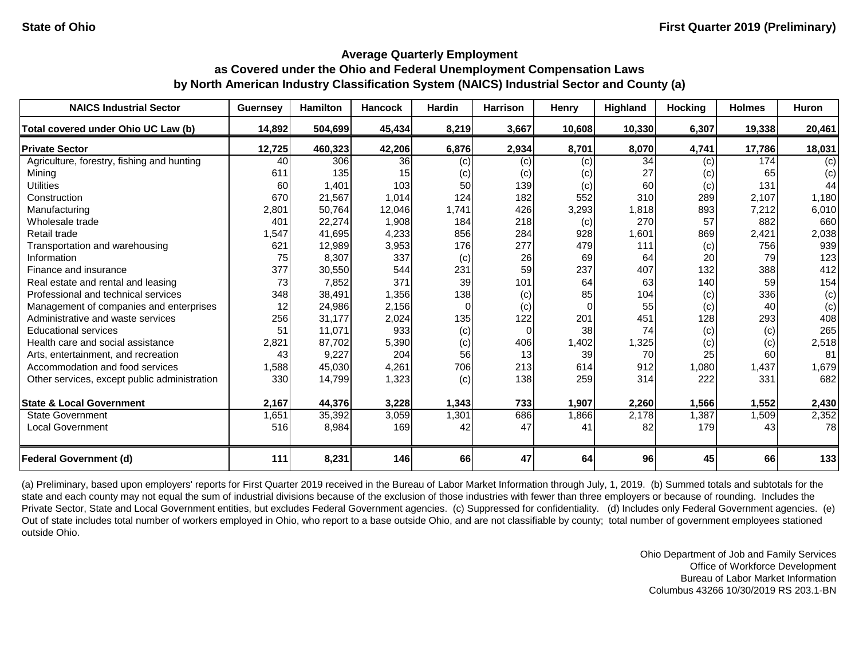| <b>NAICS Industrial Sector</b>               | <b>Guernsey</b> | <b>Hamilton</b> | <b>Hancock</b> | Hardin | <b>Harrison</b> | Henry  | Highland | <b>Hocking</b> | <b>Holmes</b> | Huron  |
|----------------------------------------------|-----------------|-----------------|----------------|--------|-----------------|--------|----------|----------------|---------------|--------|
| Total covered under Ohio UC Law (b)          | 14,892          | 504,699         | 45,434         | 8,219  | 3,667           | 10,608 | 10,330   | 6,307          | 19,338        | 20,461 |
| <b>Private Sector</b>                        | 12,725          | 460,323         | 42,206         | 6,876  | 2,934           | 8,701  | 8,070    | 4,741          | 17,786        | 18,031 |
| Agriculture, forestry, fishing and hunting   | 40              | 306             | 36             | (c)    | (c)             | (c)    | 34       | (c)            | 174           | (c)    |
| Mining                                       | 611             | 135             | 15             | (c)    | (c)             | (c)    | 27       | (c)            | 65            | (c)    |
| <b>Utilities</b>                             | 60              | 1,401           | 103            | 50     | 139             | (c)    | 60       | (c)            | 131           | 44     |
| Construction                                 | 670             | 21,567          | 1,014          | 124    | 182             | 552    | 310      | 289            | 2,107         | 1,180  |
| Manufacturing                                | 2,801           | 50,764          | 12,046         | 1,741  | 426             | 3,293  | 1,818    | 893            | 7,212         | 6,010  |
| Wholesale trade                              | 401             | 22,274          | 1,908          | 184    | 218             | (c)    | 270      | 57             | 882           | 660    |
| Retail trade                                 | 1,547           | 41,695          | 4,233          | 856    | 284             | 928    | 1,601    | 869            | 2,421         | 2,038  |
| Transportation and warehousing               | 621             | 12,989          | 3,953          | 176    | 277             | 479    | 111      | (c)            | 756           | 939    |
| Information                                  | 75              | 8,307           | 337            | (c)    | 26              | 69     | 64       | 20             | 79            | 123    |
| Finance and insurance                        | 377             | 30,550          | 544            | 231    | 59              | 237    | 407      | 132            | 388           | 412    |
| Real estate and rental and leasing           | 73              | 7,852           | 371            | 39     | 101             | 64     | 63       | 140            | 59            | 154    |
| Professional and technical services          | 348             | 38,491          | 1,356          | 138    | (c)             | 85     | 104      | (c)            | 336           | (c)    |
| Management of companies and enterprises      | 12              | 24,986          | 2,156          | 0      | (c)             |        | 55       | (c)            | 40            | (c)    |
| Administrative and waste services            | 256             | 31,177          | 2,024          | 135    | 122             | 201    | 451      | 128            | 293           | 408    |
| <b>Educational services</b>                  | 51              | 11,071          | 933            | (c)    | $\Omega$        | 38     | 74       | (c)            | (c)           | 265    |
| Health care and social assistance            | 2,821           | 87,702          | 5,390          | (c)    | 406             | 1,402  | 1,325    | (c)            | (c)           | 2,518  |
| Arts, entertainment, and recreation          | 43              | 9,227           | 204            | 56     | 13              | 39     | 70       | 25             | 60            | 81     |
| Accommodation and food services              | 1,588           | 45,030          | 4,261          | 706    | 213             | 614    | 912      | 1,080          | 1,437         | 1,679  |
| Other services, except public administration | 330             | 14,799          | 1,323          | (c)    | 138             | 259    | 314      | 222            | 331           | 682    |
| <b>State &amp; Local Government</b>          | 2,167           | 44,376          | 3,228          | 1,343  | 733             | 1,907  | 2,260    | 1,566          | 1,552         | 2,430  |
| <b>State Government</b>                      | 1,651           | 35,392          | 3,059          | 1,301  | 686             | 1,866  | 2,178    | 1,387          | 1,509         | 2,352  |
| <b>Local Government</b>                      | 516             | 8,984           | 169            | 42     | 47              | 41     | 82       | 179            | 43            | 78     |
| <b>Federal Government (d)</b>                | 111             | 8,231           | 146            | 66     | 47              | 64     | 96       | 45             | 66            | 133    |

(a) Preliminary, based upon employers' reports for First Quarter 2019 received in the Bureau of Labor Market Information through July, 1, 2019. (b) Summed totals and subtotals for the state and each county may not equal the sum of industrial divisions because of the exclusion of those industries with fewer than three employers or because of rounding. Includes the Private Sector, State and Local Government entities, but excludes Federal Government agencies. (c) Suppressed for confidentiality. (d) Includes only Federal Government agencies. (e) Out of state includes total number of workers employed in Ohio, who report to a base outside Ohio, and are not classifiable by county; total number of government employees stationed outside Ohio.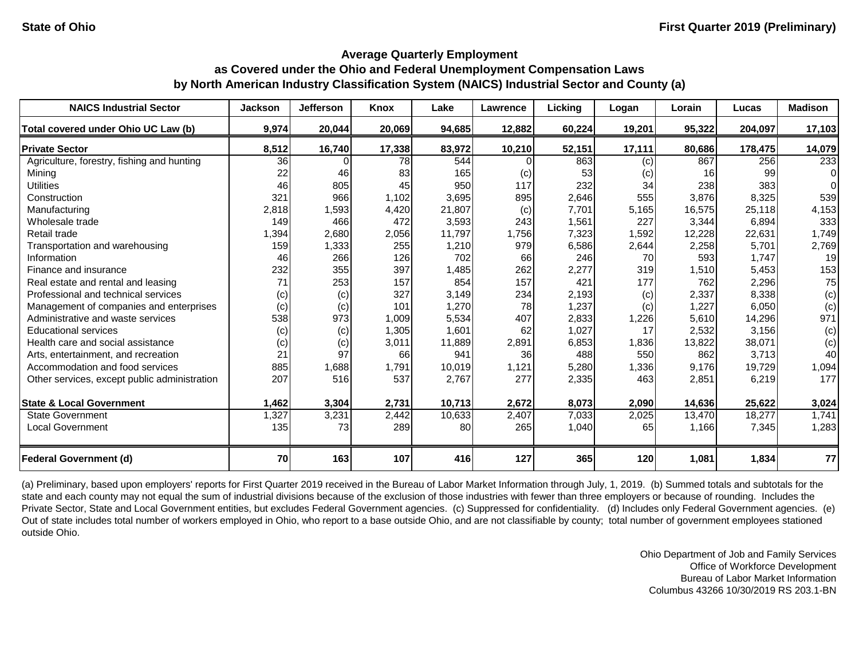| <b>NAICS Industrial Sector</b>               | <b>Jackson</b> | <b>Jefferson</b> | Knox   | Lake   | Lawrence | Licking | Logan  | Lorain | Lucas   | <b>Madison</b> |
|----------------------------------------------|----------------|------------------|--------|--------|----------|---------|--------|--------|---------|----------------|
| Total covered under Ohio UC Law (b)          | 9,974          | 20,044           | 20,069 | 94,685 | 12,882   | 60,224  | 19,201 | 95,322 | 204,097 | 17,103         |
| <b>Private Sector</b>                        | 8,512          | 16,740           | 17,338 | 83,972 | 10,210   | 52,151  | 17,111 | 80,686 | 178,475 | 14,079         |
| Agriculture, forestry, fishing and hunting   | 36             |                  | 78     | 544    |          | 863     | (c)    | 867    | 256     | 233            |
| Mining                                       | 22             | 46               | 83     | 165    | (c)      | 53      | (c)    | 16     | 99      | $\Omega$       |
| <b>Utilities</b>                             | 46             | 805              | 45     | 950    | 117      | 232     | 34     | 238    | 383     | $\Omega$       |
| Construction                                 | 321            | 966              | 1,102  | 3,695  | 895      | 2,646   | 555    | 3,876  | 8,325   | 539            |
| Manufacturing                                | 2,818          | 1,593            | 4,420  | 21,807 | (c)      | 7,701   | 5,165  | 16,575 | 25,118  | 4,153          |
| Wholesale trade                              | 149            | 466              | 472    | 3,593  | 243      | 1,561   | 227    | 3,344  | 6,894   | 333            |
| Retail trade                                 | 1,394          | 2,680            | 2,056  | 11,797 | 1,756    | 7,323   | 1,592  | 12,228 | 22,631  | 1,749          |
| Transportation and warehousing               | 159            | 1,333            | 255    | 1,210  | 979      | 6,586   | 2,644  | 2,258  | 5,701   | 2,769          |
| Information                                  | 46             | 266              | 126    | 702    | 66       | 246     | 70     | 593    | 1,747   | 19             |
| Finance and insurance                        | 232            | 355              | 397    | 1,485  | 262      | 2,277   | 319    | 1,510  | 5,453   | 153            |
| Real estate and rental and leasing           | 71             | 253              | 157    | 854    | 157      | 421     | 177    | 762    | 2,296   | 75             |
| Professional and technical services          | (c)            | (c)              | 327    | 3,149  | 234      | 2,193   | (c)    | 2,337  | 8,338   | (c)            |
| Management of companies and enterprises      | (c)            | (c)              | 101    | 1,270  | 78       | 1,237   | (c)    | 1,227  | 6,050   | (c)            |
| Administrative and waste services            | 538            | 973              | 1,009  | 5,534  | 407      | 2,833   | 1,226  | 5,610  | 14,296  | 971            |
| <b>Educational services</b>                  | (c)            | (c)              | 1,305  | 1,601  | 62       | 1,027   | 17     | 2,532  | 3,156   | (c)            |
| Health care and social assistance            | (c)            | (c)              | 3,011  | 11,889 | 2,891    | 6,853   | 1,836  | 13,822 | 38,071  | (c)            |
| Arts, entertainment, and recreation          | 21             | 97               | 66     | 941    | 36       | 488     | 550    | 862    | 3,713   | 40             |
| Accommodation and food services              | 885            | 1,688            | 1,791  | 10,019 | 1,121    | 5,280   | 1,336  | 9,176  | 19,729  | 1,094          |
| Other services, except public administration | 207            | 516              | 537    | 2,767  | 277      | 2,335   | 463    | 2,851  | 6,219   | 177            |
| <b>State &amp; Local Government</b>          | 1,462          | 3,304            | 2,731  | 10,713 | 2,672    | 8,073   | 2,090  | 14,636 | 25,622  | 3,024          |
| <b>State Government</b>                      | 1,327          | 3,231            | 2,442  | 10,633 | 2,407    | 7,033   | 2,025  | 13,470 | 18,277  | 1,741          |
| <b>Local Government</b>                      | 135            | 73               | 289    | 80     | 265      | 1,040   | 65     | 1,166  | 7,345   | 1,283          |
| <b>Federal Government (d)</b>                | 70             | 163              | 107    | 416    | 127      | 365     | 120    | 1,081  | 1,834   | 77             |

(a) Preliminary, based upon employers' reports for First Quarter 2019 received in the Bureau of Labor Market Information through July, 1, 2019. (b) Summed totals and subtotals for the state and each county may not equal the sum of industrial divisions because of the exclusion of those industries with fewer than three employers or because of rounding. Includes the Private Sector, State and Local Government entities, but excludes Federal Government agencies. (c) Suppressed for confidentiality. (d) Includes only Federal Government agencies. (e) Out of state includes total number of workers employed in Ohio, who report to a base outside Ohio, and are not classifiable by county; total number of government employees stationed outside Ohio.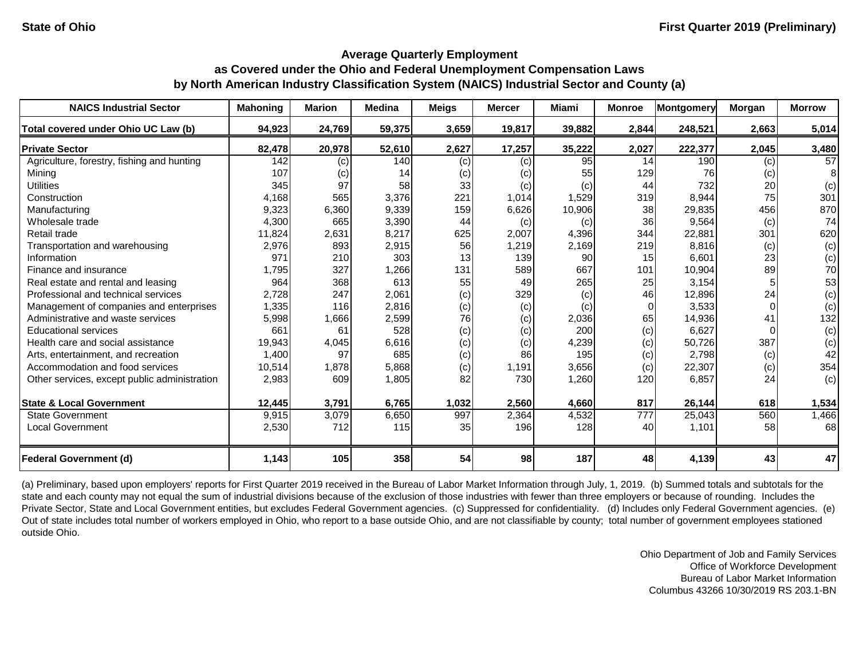| <b>NAICS Industrial Sector</b>               | <b>Mahoning</b> | <b>Marion</b> | <b>Medina</b> | <b>Meigs</b> | <b>Mercer</b> | Miami  | <b>Monroe</b>    | Montgomery | Morgan | <b>Morrow</b> |
|----------------------------------------------|-----------------|---------------|---------------|--------------|---------------|--------|------------------|------------|--------|---------------|
| Total covered under Ohio UC Law (b)          | 94,923          | 24,769        | 59,375        | 3,659        | 19,817        | 39,882 | 2,844            | 248,521    | 2,663  | 5,014         |
| <b>Private Sector</b>                        | 82,478          | 20,978        | 52,610        | 2,627        | 17,257        | 35,222 | 2,027            | 222,377    | 2,045  | 3,480         |
| Agriculture, forestry, fishing and hunting   | 142             | (c)           | 140           | (c)          | (c)           | 95     | 14               | 190        | (c)    | 57            |
| Mining                                       | 107             | (c)           | 14            | (c)          | (c)           | 55     | 129              | 76         | (c)    | 8             |
| <b>Utilities</b>                             | 345             | 97            | 58            | 33           | (c)           | (c)    | 44               | 732        | 20     | (c)           |
| Construction                                 | 4,168           | 565           | 3,376         | 221          | 1,014         | 1,529  | 319              | 8,944      | 75     | 301           |
| Manufacturing                                | 9,323           | 6,360         | 9,339         | 159          | 6,626         | 10,906 | 38               | 29,835     | 456    | 870           |
| Wholesale trade                              | 4,300           | 665           | 3,390         | 44           | (c)           | (c)    | 36               | 9,564      | (c)    | 74            |
| Retail trade                                 | 11,824          | 2,631         | 8,217         | 625          | 2,007         | 4,396  | 344              | 22,881     | 301    | 620           |
| Transportation and warehousing               | 2,976           | 893           | 2,915         | 56           | 1,219         | 2,169  | 219              | 8,816      | (c)    | (c)           |
| Information                                  | 971             | 210           | 303           | 13           | 139           | 90     | 15               | 6,601      | 23     | (c)           |
| Finance and insurance                        | 1,795           | 327           | 1,266         | 131          | 589           | 667    | 101              | 10,904     | 89     | 70            |
| Real estate and rental and leasing           | 964             | 368           | 613           | 55           | 49            | 265    | 25               | 3,154      |        | 53            |
| Professional and technical services          | 2,728           | 247           | 2,061         | (c)          | 329           | (c)    | 46               | 12,896     | 24     | (c)           |
| Management of companies and enterprises      | 1,335           | 116           | 2,816         | (c)          | (c)           | (c)    | $\Omega$         | 3,533      |        | (c)           |
| Administrative and waste services            | 5,998           | 1,666         | 2,599         | 76           | (c)           | 2,036  | 65               | 14,936     | 41     | 132           |
| <b>Educational services</b>                  | 661             | 61            | 528           | (c)          | (c)           | 200    | (c)              | 6,627      |        | (c)           |
| Health care and social assistance            | 19,943          | 4,045         | 6,616         | (c)          | (c)           | 4,239  | (c)              | 50,726     | 387    | (c)           |
| Arts, entertainment, and recreation          | 1,400           | 97            | 685           | (c)          | 86            | 195    | (c)              | 2,798      | (c)    | 42            |
| Accommodation and food services              | 10,514          | 1,878         | 5,868         | (c)          | 1,191         | 3,656  | (c)              | 22,307     | (c)    | 354           |
| Other services, except public administration | 2,983           | 609           | 1,805         | 82           | 730           | 1,260  | 120              | 6,857      | 24     | (c)           |
| <b>State &amp; Local Government</b>          | 12,445          | 3,791         | 6,765         | 1,032        | 2,560         | 4,660  | 817              | 26,144     | 618    | 1,534         |
| <b>State Government</b>                      | 9,915           | 3,079         | 6,650         | 997          | 2,364         | 4,532  | $\overline{777}$ | 25,043     | 560    | 1,466         |
| <b>Local Government</b>                      | 2,530           | 712           | 115           | 35           | 196           | 128    | 40               | 1,101      | 58     | 68            |
| <b>Federal Government (d)</b>                | 1,143           | 105           | 358           | 54           | 98            | 187    | 48               | 4,139      | 43     | 47            |

(a) Preliminary, based upon employers' reports for First Quarter 2019 received in the Bureau of Labor Market Information through July, 1, 2019. (b) Summed totals and subtotals for the state and each county may not equal the sum of industrial divisions because of the exclusion of those industries with fewer than three employers or because of rounding. Includes the Private Sector, State and Local Government entities, but excludes Federal Government agencies. (c) Suppressed for confidentiality. (d) Includes only Federal Government agencies. (e) Out of state includes total number of workers employed in Ohio, who report to a base outside Ohio, and are not classifiable by county; total number of government employees stationed outside Ohio.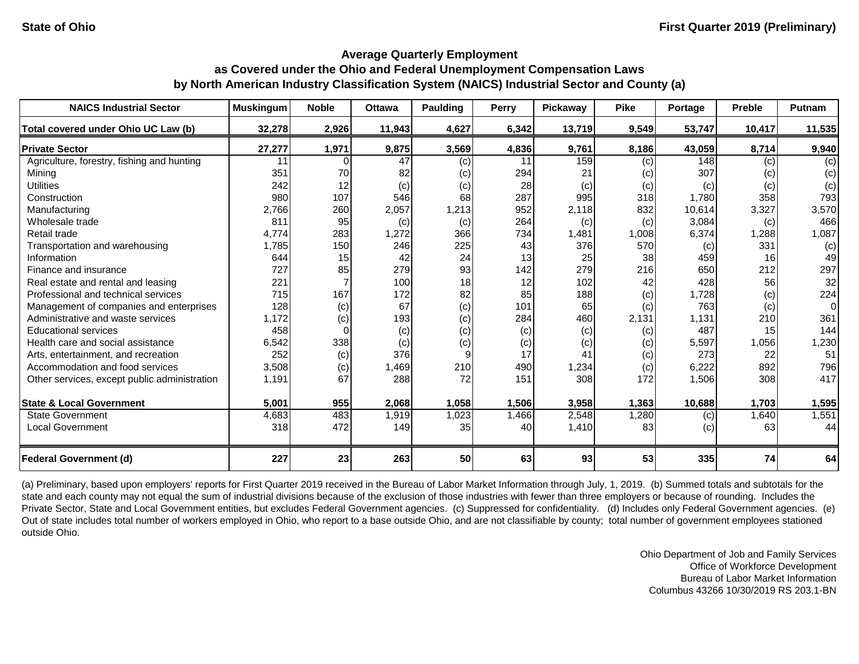#### **Average Quarterly Employment as Covered under the Ohio and Federal Unemployment Compensation Laws**

# **by North American Industry Classification System (NAICS) Industrial Sector and County (a)**

| <b>NAICS Industrial Sector</b>               | <b>Muskingum</b> | <b>Noble</b> | <b>Ottawa</b> | <b>Paulding</b> | Perry | Pickaway | <b>Pike</b> | Portage | <b>Preble</b> | Putnam   |
|----------------------------------------------|------------------|--------------|---------------|-----------------|-------|----------|-------------|---------|---------------|----------|
| Total covered under Ohio UC Law (b)          | 32,278           | 2,926        | 11,943        | 4,627           | 6,342 | 13,719   | 9,549       | 53,747  | 10,417        | 11,535   |
| <b>Private Sector</b>                        | 27,277           | 1,971        | 9,875         | 3,569           | 4,836 | 9,761    | 8,186       | 43,059  | 8,714         | 9,940    |
| Agriculture, forestry, fishing and hunting   | 11               |              | 47            | (c)             | 11    | 159      | (c)         | 148     | (c)           | (c)      |
| Mining                                       | 351              | 70           | 82            | (c)             | 294   | 21       | (c)         | 307     | (c)           | (c)      |
| <b>Utilities</b>                             | 242              | 12           | (c)           | (c)             | 28    | (c)      | (c)         | (c)     | (c)           | (c)      |
| Construction                                 | 980              | 107          | 546           | 68              | 287   | 995      | 318         | 1,780   | 358           | 793      |
| Manufacturing                                | 2,766            | 260          | 2,057         | 1,213           | 952   | 2,118    | 832         | 10,614  | 3,327         | 3,570    |
| Wholesale trade                              | 811              | 95           | (c)           | (c)             | 264   | (c)      | (c)         | 3,084   | (c)           | 466      |
| Retail trade                                 | 4,774            | 283          | 1,272         | 366             | 734   | 1,481    | 1,008       | 6,374   | 1,288         | 1,087    |
| Transportation and warehousing               | 1,785            | 150          | 246           | 225             | 43    | 376      | 570         | (c)     | 331           | (c)      |
| Information                                  | 644              | 15           | 42            | 24              | 13    | 25       | 38          | 459     | 16            | 49       |
| Finance and insurance                        | 727              | 85           | 279           | 93              | 142   | 279      | 216         | 650     | 212           | 297      |
| Real estate and rental and leasing           | 221              |              | 100           | 18              | 12    | 102      | 42          | 428     | 56            | 32       |
| Professional and technical services          | 715              | 167          | 172           | 82              | 85    | 188      | (c)         | 1,728   | (c)           | 224      |
| Management of companies and enterprises      | 128              | (c)          | 67            | (c)             | 101   | 65       | (c)         | 763     | (c)           | $\Omega$ |
| Administrative and waste services            | 1,172            | (c)          | 193           | (c)             | 284   | 460      | 2,131       | 1,131   | 210           | 361      |
| <b>Educational services</b>                  | 458              |              | (c)           | (c)             | (c)   | (c)      | (c)         | 487     | 15            | 144      |
| Health care and social assistance            | 6,542            | 338          | (c)           | (c)             | (c)   | (c)      | (c)         | 5,597   | 1,056         | 1,230    |
| Arts, entertainment, and recreation          | 252              | (c)          | 376           | 9               | 17    | 41       | (c)         | 273     | 22            | 51       |
| Accommodation and food services              | 3,508            | (c)          | 1,469         | 210             | 490   | 1,234    | (c)         | 6,222   | 892           | 796      |
| Other services, except public administration | 1,191            | 67           | 288           | 72              | 151   | 308      | 172         | 1,506   | 308           | 417      |
| <b>State &amp; Local Government</b>          | 5,001            | 955          | 2,068         | 1,058           | 1,506 | 3,958    | 1,363       | 10,688  | 1,703         | 1,595    |
| <b>State Government</b>                      | 4,683            | 483          | 1,919         | 1,023           | 1,466 | 2,548    | 1,280       | (c)     | 1,640         | 1,551    |
| <b>Local Government</b>                      | 318              | 472          | 149           | 35              | 40    | 1,410    | 83          | (c)     | 63            | 44       |
| <b>Federal Government (d)</b>                | 227              | 23           | 263           | 50              | 63    | 93       | 53          | 335     | 74            | 64       |

(a) Preliminary, based upon employers' reports for First Quarter 2019 received in the Bureau of Labor Market Information through July, 1, 2019. (b) Summed totals and subtotals for the state and each county may not equal the sum of industrial divisions because of the exclusion of those industries with fewer than three employers or because of rounding. Includes the Private Sector, State and Local Government entities, but excludes Federal Government agencies. (c) Suppressed for confidentiality. (d) Includes only Federal Government agencies. (e) Out of state includes total number of workers employed in Ohio, who report to a base outside Ohio, and are not classifiable by county; total number of government employees stationed outside Ohio.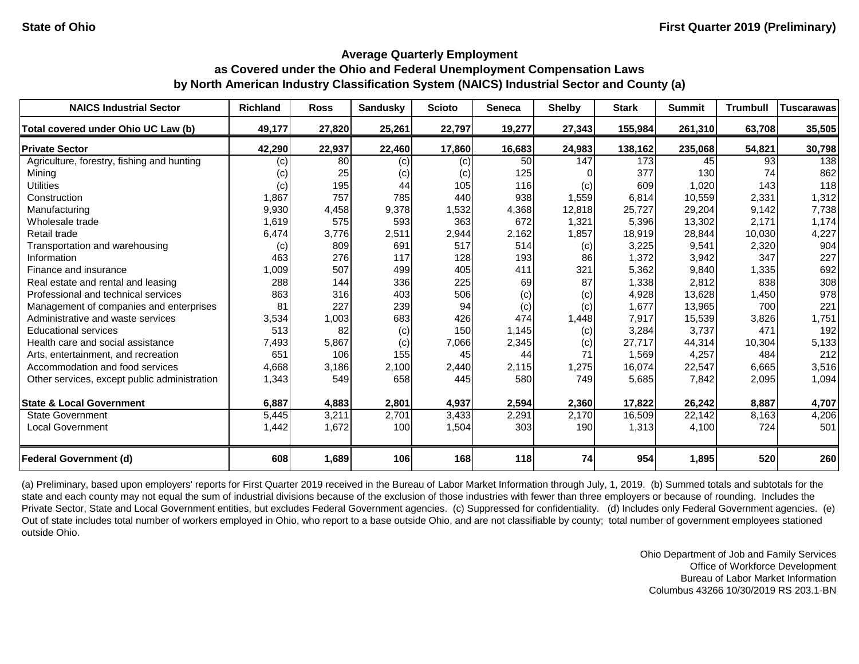| <b>NAICS Industrial Sector</b>               | <b>Richland</b> | <b>Ross</b> | <b>Sandusky</b> | <b>Scioto</b> | <b>Seneca</b> | <b>Shelby</b> | <b>Stark</b> | <b>Summit</b> | <b>Trumbull</b> | <b>Tuscarawas</b> |
|----------------------------------------------|-----------------|-------------|-----------------|---------------|---------------|---------------|--------------|---------------|-----------------|-------------------|
| Total covered under Ohio UC Law (b)          | 49,177          | 27,820      | 25,261          | 22,797        | 19,277        | 27,343        | 155,984      | 261,310       | 63,708          | 35,505            |
| <b>Private Sector</b>                        | 42,290          | 22,937      | 22,460          | 17,860        | 16,683        | 24,983        | 138,162      | 235,068       | 54,821          | 30,798            |
| Agriculture, forestry, fishing and hunting   | (c)             | 80          | (c)             | (c)           | 50            | 147           | 173          | 45            | 93              | 138               |
| Mining                                       | (c)             | 25          | (c)             | (c)           | 125           |               | 377          | 130           | 74              | 862               |
| <b>Utilities</b>                             | (c)             | 195         | 44              | 105           | 116           | (c)           | 609          | 1,020         | 143             | 118               |
| Construction                                 | 1,867           | 757         | 785             | 440           | 938           | 1,559         | 6,814        | 10,559        | 2,331           | 1,312             |
| Manufacturing                                | 9,930           | 4,458       | 9,378           | 1,532         | 4,368         | 12,818        | 25,727       | 29,204        | 9,142           | 7,738             |
| Wholesale trade                              | 1,619           | 575         | 593             | 363           | 672           | 1,321         | 5,396        | 13,302        | 2,171           | 1,174             |
| Retail trade                                 | 6,474           | 3,776       | 2,511           | 2,944         | 2,162         | 1,857         | 18,919       | 28,844        | 10,030          | 4,227             |
| Transportation and warehousing               | (c)             | 809         | 691             | 517           | 514           | (c)           | 3,225        | 9,541         | 2,320           | 904               |
| Information                                  | 463             | 276         | 117             | 128           | 193           | 86            | 1,372        | 3,942         | 347             | 227               |
| Finance and insurance                        | 1,009           | 507         | 499             | 405           | 411           | 321           | 5,362        | 9,840         | 1,335           | 692               |
| Real estate and rental and leasing           | 288             | 144         | 336             | 225           | 69            | 87            | 1,338        | 2,812         | 838             | 308               |
| Professional and technical services          | 863             | 316         | 403             | 506           | (c)           | (c)           | 4,928        | 13,628        | 1,450           | 978               |
| Management of companies and enterprises      | 81              | 227         | 239             | 94            | (c)           | (c)           | 1,677        | 13,965        | 700             | 221               |
| Administrative and waste services            | 3,534           | 1,003       | 683             | 426           | 474           | 1,448         | 7,917        | 15,539        | 3,826           | 1,751             |
| <b>Educational services</b>                  | 513             | 82          | (c)             | 150           | 1,145         | (c)           | 3,284        | 3,737         | 471             | 192               |
| Health care and social assistance            | 7,493           | 5,867       | (c)             | 7,066         | 2,345         | (c)           | 27,717       | 44,314        | 10,304          | 5,133             |
| Arts, entertainment, and recreation          | 651             | 106         | 155             | 45            | 44            | 71            | 1,569        | 4,257         | 484             | 212               |
| Accommodation and food services              | 4,668           | 3,186       | 2,100           | 2,440         | 2,115         | 1,275         | 16,074       | 22,547        | 6,665           | 3,516             |
| Other services, except public administration | 1,343           | 549         | 658             | 445           | 580           | 749           | 5,685        | 7,842         | 2,095           | 1,094             |
| <b>State &amp; Local Government</b>          | 6,887           | 4,883       | 2,801           | 4,937         | 2,594         | 2,360         | 17,822       | 26,242        | 8,887           | 4,707             |
| <b>State Government</b>                      | 5,445           | 3,211       | 2,701           | 3,433         | 2,291         | 2,170         | 16,509       | 22,142        | 8,163           | 4,206             |
| <b>Local Government</b>                      | 1,442           | 1,672       | 100             | 1,504         | 303           | 190           | 1,313        | 4,100         | 724             | 501               |
| <b>Federal Government (d)</b>                | 608             | 1,689       | 106             | 168           | 118           | 74            | 954          | 1,895         | 520             | 260               |

(a) Preliminary, based upon employers' reports for First Quarter 2019 received in the Bureau of Labor Market Information through July, 1, 2019. (b) Summed totals and subtotals for the state and each county may not equal the sum of industrial divisions because of the exclusion of those industries with fewer than three employers or because of rounding. Includes the Private Sector, State and Local Government entities, but excludes Federal Government agencies. (c) Suppressed for confidentiality. (d) Includes only Federal Government agencies. (e) Out of state includes total number of workers employed in Ohio, who report to a base outside Ohio, and are not classifiable by county; total number of government employees stationed outside Ohio.